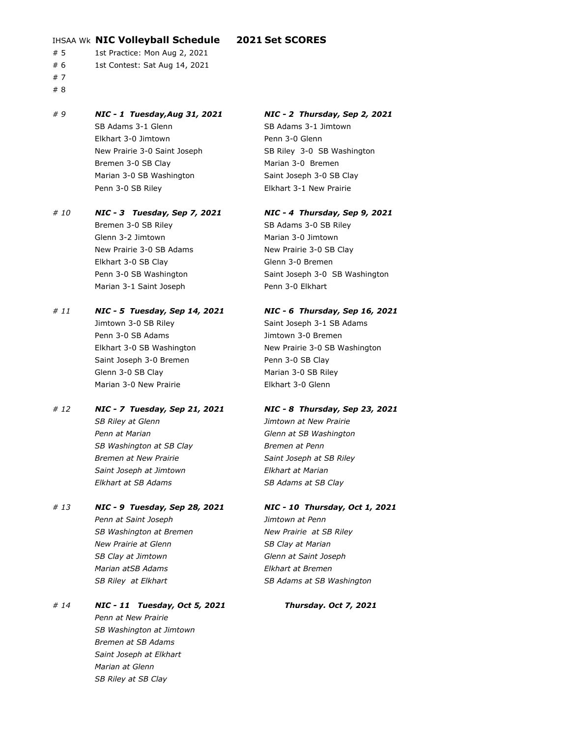### IHSAA Wk **NIC Volleyball Schedule 2021 Set SCORES**

- # 5 1st Practice: Mon Aug 2, 2021
- # 6 1st Contest: Sat Aug 14, 2021
- # 7
- # 8

### *# 9 NIC - 1 Tuesday,Aug 31, 2021 NIC - 2 Thursday, Sep 2, 2021* SB Adams 3-1 Glenn SB Adams 3-1 Jimtown Elkhart 3-0 Jimtown Penn 3-0 Glenn New Prairie 3-0 Saint Joseph SB Riley 3-0 SB Washington Bremen 3-0 SB Clay Marian 3-0 Bremen Marian 3-0 SB Washington Saint Joseph 3-0 SB Clay

### *# 10 NIC - 3 Tuesday, Sep 7, 2021 NIC - 4 Thursday, Sep 9, 2021* Bremen 3-0 SB Riley SB Adams 3-0 SB Riley Glenn 3-2 Jimtown **Marian 3-0 Jimtown**

New Prairie 3-0 SB Adams New Prairie 3-0 SB Clay Elkhart 3-0 SB Clay Glenn 3-0 Bremen Marian 3-1 Saint Joseph Penn 3-0 Elkhart

### *# 11 NIC - 5 Tuesday, Sep 14, 2021 NIC - 6 Thursday, Sep 16, 2021*

Jimtown 3-0 SB Riley Saint Joseph 3-1 SB Adams Penn 3-0 SB Adams **Jimtown 3-0 Bremen** Saint Joseph 3-0 Bremen Penn 3-0 SB Clay Glenn 3-0 SB Clay Marian 3-0 SB Riley Marian 3-0 New Prairie **Elkhart 3-0 Glenn** 

# *SB Riley at Glenn Jimtown at New Prairie Penn at Marian Glenn at SB Washington*

*Bremen at New Prairie* Saint Joseph at SB Riley *Saint Joseph at Jimtown Elkhart at Marian Elkhart at SB Adams SB Adams at SB Clay*

## *# 13 NIC - 9 Tuesday, Sep 28, 2021 NIC - 10 Thursday, Oct 1, 2021*

*Penn at Saint Joseph Jimtown at Penn* SB Washington at Bremen New Prairie at SB Riley *New Prairie at Glenn SB Clay at Marian SB Clay at Jimtown Glenn at Saint Joseph Marian atSB Adams Elkhart at Bremen*

### *# 14 NIC - 11 Tuesday, Oct 5, 2021 Thursday. Oct 7, 2021 Penn at New Prairie SB Washington at Jimtown Bremen at SB Adams Saint Joseph at Elkhart Marian at Glenn SB Riley at SB Clay*

Penn 3-0 SB Riley **Elkhart 3-1 New Prairie** 

Penn 3-0 SB Washington Saint Joseph 3-0 SB Washington

Elkhart 3-0 SB Washington New Prairie 3-0 SB Washington

### *# 12 NIC - 7 Tuesday, Sep 21, 2021 NIC - 8 Thursday, Sep 23, 2021*

**SB Washington at SB Clay 6 and Bremen at Penn** 

SB Riley at Elkhart SB Adams at SB Washington